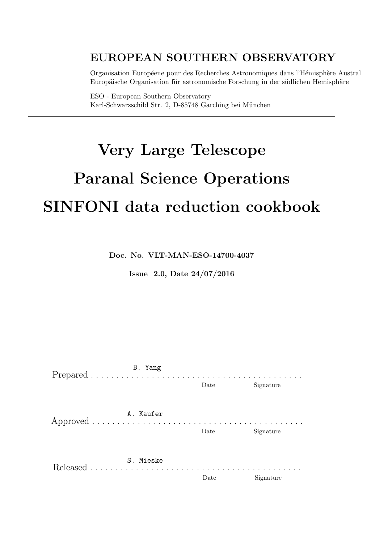# EUROPEAN SOUTHERN OBSERVATORY

Organisation Européene pour des Recherches Astronomiques dans l'Hémisphère Austral Europäische Organisation für astronomische Forschung in der südlichen Hemisphäre

ESO - European Southern Observatory Karl-Schwarzschild Str. 2, D-85748 Garching bei München

# Very Large Telescope Paranal Science Operations SINFONI data reduction cookbook

Doc. No. VLT-MAN-ESO-14700-4037

Issue 2.0, Date 24/07/2016

| B. Yang   |      |           |  |
|-----------|------|-----------|--|
|           | Date | Signature |  |
| A. Kaufer |      |           |  |
|           | Date | Signature |  |
| S. Mieske |      |           |  |
|           | Date | Signature |  |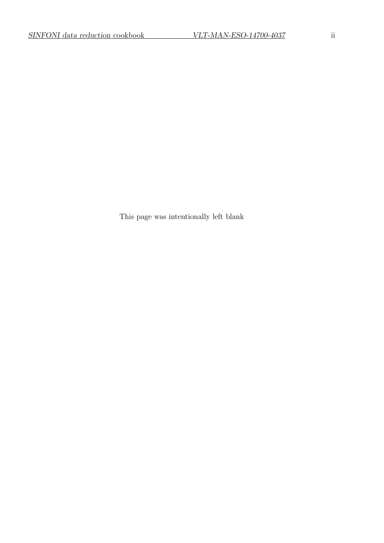This page was intentionally left blank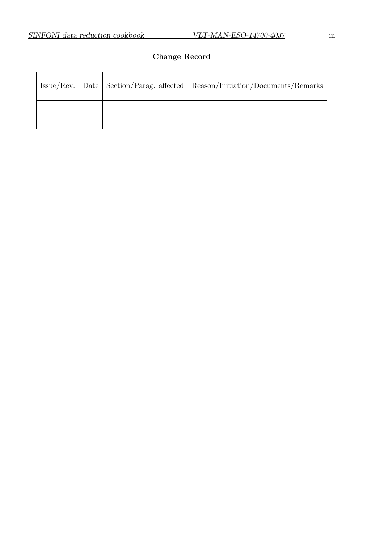### Change Record

|  | $\text{Issue/Rev.}$ Date   Section/Parag. affected   Reason/Initiation/Documents/Remarks |
|--|------------------------------------------------------------------------------------------|
|  |                                                                                          |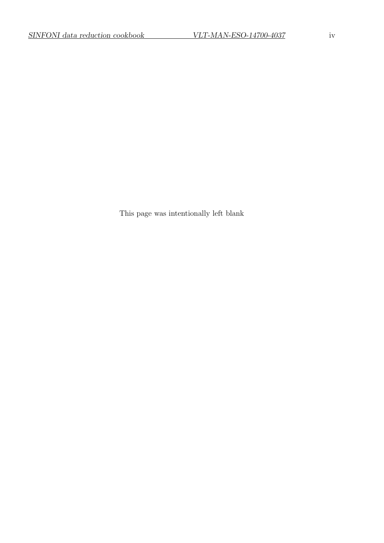This page was intentionally left blank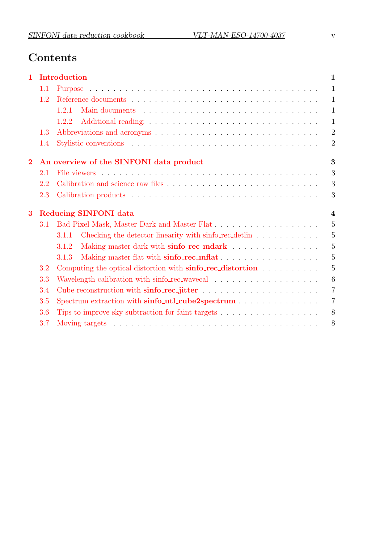# Contents

| $\mathbf 1$    |     | Introduction                                                                            | $\mathbf{1}$   |  |
|----------------|-----|-----------------------------------------------------------------------------------------|----------------|--|
|                | 1.1 |                                                                                         | $\mathbf{1}$   |  |
|                | 1.2 |                                                                                         | $\mathbf{1}$   |  |
|                |     | 1.2.1                                                                                   | $\mathbf{1}$   |  |
|                |     | 1.2.2                                                                                   | $\mathbf{1}$   |  |
|                | 1.3 |                                                                                         | $\overline{2}$ |  |
|                | 1.4 |                                                                                         | $\overline{2}$ |  |
| $\overline{2}$ |     | An overview of the SINFONI data product                                                 | 3              |  |
|                | 2.1 |                                                                                         | 3              |  |
|                | 2.2 |                                                                                         | 3              |  |
|                | 2.3 |                                                                                         | 3              |  |
| 3              |     | <b>Reducing SINFONI data</b>                                                            | $\overline{4}$ |  |
|                | 3.1 |                                                                                         | $\overline{5}$ |  |
|                |     | Checking the detector linearity with sinfo rec-detlin<br>3.1.1                          | $\overline{5}$ |  |
|                |     | Making master dark with <b>sinfo_rec_mdark</b><br>3.1.2                                 | $\overline{5}$ |  |
|                |     | 3.1.3                                                                                   | $\overline{5}$ |  |
|                | 3.2 | Computing the optical distortion with sinfo_rec_distortion                              | $\overline{5}$ |  |
|                | 3.3 | 6                                                                                       |                |  |
|                | 3.4 | $\overline{7}$                                                                          |                |  |
|                | 3.5 | Spectrum extraction with sinfo_utl_cube2spectrum                                        | $\overline{7}$ |  |
|                | 3.6 | Tips to improve sky subtraction for faint targets $\dots \dots \dots \dots \dots \dots$ | 8              |  |
|                | 3.7 |                                                                                         | 8              |  |
|                |     |                                                                                         |                |  |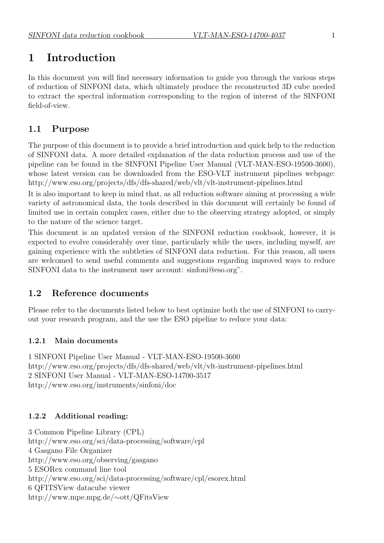# <span id="page-5-0"></span>1 Introduction

In this document you will find necessary information to guide you through the various steps of reduction of SINFONI data, which ultimately produce the reconstructed 3D cube needed to extract the spectral information corresponding to the region of interest of the SINFONI field-of-view.

#### <span id="page-5-1"></span>1.1 Purpose

The purpose of this document is to provide a brief introduction and quick help to the reduction of SINFONI data. A more detailed explanation of the data reduction process and use of the pipeline can be found in the SINFONI Pipeline User Manual (VLT-MAN-ESO-19500-3600), whose latest version can be downloaded from the ESO-VLT instrument pipelines webpage: http://www.eso.org/projects/dfs/dfs-shared/web/vlt/vlt-instrument-pipelines.html

It is also important to keep in mind that, as all reduction software aiming at processing a wide variety of astronomical data, the tools described in this document will certainly be found of limited use in certain complex cases, either due to the observing strategy adopted, or simply to the nature of the science target.

This document is an updated version of the SINFONI reduction cookbook, however, it is expected to evolve considerably over time, particularly while the users, including myself, are gaining experience with the subtleties of SINFONI data reduction. For this reason, all users are welcomed to send useful comments and suggestions regarding improved ways to reduce SINFONI data to the instrument user account: sinfoni@eso.org".

#### <span id="page-5-2"></span>1.2 Reference documents

Please refer to the documents listed below to best optimize both the use of SINFONI to carryout your research program, and the use the ESO pipeline to reduce your data:

#### <span id="page-5-3"></span>1.2.1 Main documents

1 SINFONI Pipeline User Manual - VLT-MAN-ESO-19500-3600 http://www.eso.org/projects/dfs/dfs-shared/web/vlt/vlt-instrument-pipelines.html 2 SINFONI User Manual - VLT-MAN-ESO-14700-3517 http://www.eso.org/instruments/sinfoni/doc

#### <span id="page-5-4"></span>1.2.2 Additional reading:

3 Common Pipeline Library (CPL) http://www.eso.org/sci/data-processing/software/cpl 4 Gasgano File Organizer http://www.eso.org/observing/gasgano 5 ESORex command line tool http://www.eso.org/sci/data-processing/software/cpl/esorex.html 6 QFITSView datacube viewer http://www.mpe.mpg.de/∼ott/QFitsView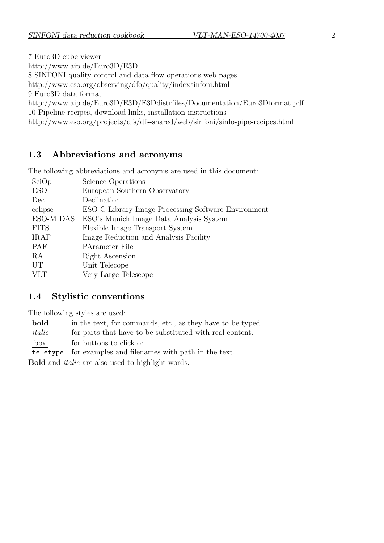7 Euro3D cube viewer http://www.aip.de/Euro3D/E3D 8 SINFONI quality control and data flow operations web pages http://www.eso.org/observing/dfo/quality/indexsinfoni.html 9 Euro3D data format http://www.aip.de/Euro3D/E3D/E3Ddistrfiles/Documentation/Euro3Dformat.pdf 10 Pipeline recipes, download links, installation instructions http://www.eso.org/projects/dfs/dfs-shared/web/sinfoni/sinfo-pipe-recipes.html

#### <span id="page-6-0"></span>1.3 Abbreviations and acronyms

The following abbreviations and acronyms are used in this document:

| SciOp       | Science Operations                                  |
|-------------|-----------------------------------------------------|
| <b>ESO</b>  | European Southern Observatory                       |
| Dec         | Declination                                         |
| eclipse     | ESO C Library Image Processing Software Environment |
| ESO-MIDAS   | ESO's Munich Image Data Analysis System             |
| <b>FITS</b> | Flexible Image Transport System                     |
| <b>IRAF</b> | Image Reduction and Analysis Facility               |
| <b>PAF</b>  | <b>PArameter File</b>                               |
| RA          | Right Ascension                                     |
| UT          | Unit Telecope                                       |
| <b>VLT</b>  | Very Large Telescope                                |

#### <span id="page-6-1"></span>1.4 Stylistic conventions

The following styles are used:

| bold |  |  |  | in the text, for commands, etc., as they have to be typed. |
|------|--|--|--|------------------------------------------------------------|
|------|--|--|--|------------------------------------------------------------|

 $italic$  for parts that have to be substituted with real content.

 $|{\rm box}|$  for buttons to click on.

teletype for examples and filenames with path in the text.

Bold and italic are also used to highlight words.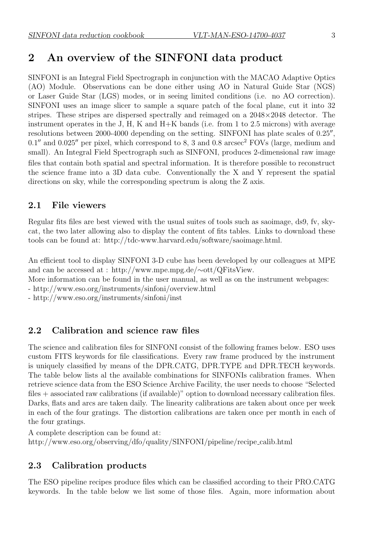# <span id="page-7-0"></span>2 An overview of the SINFONI data product

SINFONI is an Integral Field Spectrograph in conjunction with the MACAO Adaptive Optics (AO) Module. Observations can be done either using AO in Natural Guide Star (NGS) or Laser Guide Star (LGS) modes, or in seeing limited conditions (i.e. no AO correction). SINFONI uses an image slicer to sample a square patch of the focal plane, cut it into 32 stripes. These stripes are dispersed spectrally and reimaged on a 2048×2048 detector. The instrument operates in the J, H, K and  $H+K$  bands (i.e. from 1 to 2.5 microns) with average resolutions between  $2000-4000$  depending on the setting. SINFONI has plate scales of  $0.25$ ", 0.1" and 0.025" per pixel, which correspond to 8, 3 and 0.8 arcsec<sup>2</sup> FOVs (large, medium and small). An Integral Field Spectrograph such as SINFONI, produces 2-dimensional raw image files that contain both spatial and spectral information. It is therefore possible to reconstruct the science frame into a 3D data cube. Conventionally the X and Y represent the spatial directions on sky, while the corresponding spectrum is along the Z axis.

#### <span id="page-7-1"></span>2.1 File viewers

Regular fits files are best viewed with the usual suites of tools such as saoimage, ds9, fv, skycat, the two later allowing also to display the content of fits tables. Links to download these tools can be found at: http://tdc-www.harvard.edu/software/saoimage.html.

An efficient tool to display SINFONI 3-D cube has been developed by our colleagues at MPE and can be accessed at : http://www.mpe.mpg.de/∼ott/QFitsView.

More information can be found in the user manual, as well as on the instrument webpages:

- http://www.eso.org/instruments/sinfoni/overview.html

- http://www.eso.org/instruments/sinfoni/inst

#### <span id="page-7-2"></span>2.2 Calibration and science raw files

The science and calibration files for SINFONI consist of the following frames below. ESO uses custom FITS keywords for file classifications. Every raw frame produced by the instrument is uniquely classified by means of the DPR.CATG, DPR.TYPE and DPR.TECH keywords. The table below lists al the available combinations for SINFONIs calibration frames. When retrieve science data from the ESO Science Archive Facility, the user needs to choose "Selected files + associated raw calibrations (if available)" option to download necessary calibration files. Darks, flats and arcs are taken daily. The linearity calibrations are taken about once per week in each of the four gratings. The distortion calibrations are taken once per month in each of the four gratings.

A complete description can be found at: http://www.eso.org/observing/dfo/quality/SINFONI/pipeline/recipe calib.html

#### <span id="page-7-3"></span>2.3 Calibration products

The ESO pipeline recipes produce files which can be classified according to their PRO.CATG keywords. In the table below we list some of those files. Again, more information about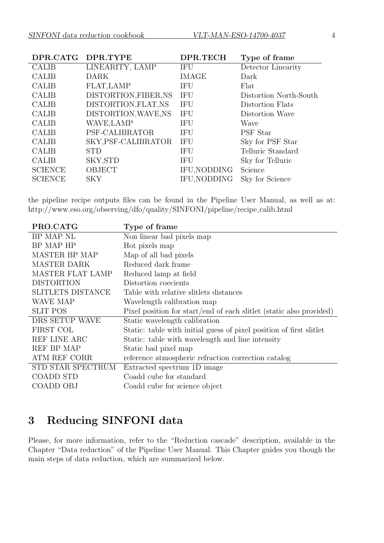| DPR.CATG       | DPR.TYPE              | DPR.TECH     | Type of frame          |
|----------------|-----------------------|--------------|------------------------|
| <b>CALIB</b>   | LINEARITY, LAMP       | <b>IFU</b>   | Detector Linearity     |
| <b>CALIB</b>   | <b>DARK</b>           | <b>IMAGE</b> | Dark                   |
| <b>CALIB</b>   | FLAT, LAMP            | <b>IFU</b>   | Flat                   |
| <b>CALIB</b>   | DISTORTION, FIBER, NS | <b>IFU</b>   | Distortion North-South |
| <b>CALIB</b>   | DISTORTION, FLAT, NS  | <b>IFU</b>   | Distortion Flats       |
| <b>CALIB</b>   | DISTORTION, WAVE, NS  | <b>IFU</b>   | Distortion Wave        |
| <b>CALIB</b>   | WAVE, LAMP            | <b>IFU</b>   | Wave                   |
| <b>CALIB</b>   | PSF-CALIBRATOR        | <b>IFU</b>   | PSF Star               |
| <b>CALIB</b>   | SKY, PSF-CALIBRATOR   | <b>IFU</b>   | Sky for PSF Star       |
| <b>CALIB</b>   | <b>STD</b>            | <b>IFU</b>   | Telluric Standard      |
| <b>CALIB</b>   | SKY, STD              | <b>IFU</b>   | Sky for Telluric       |
| <b>SCIENCE</b> | <b>OBJECT</b>         | IFU, NODDING | Science                |
| <b>SCIENCE</b> | <b>SKY</b>            | IFU, NODDING | Sky for Science        |

the pipeline recipe outputs files can be found in the Pipeline User Manual, as well as at: http://www.eso.org/observing/dfo/quality/SINFONI/pipeline/recipe calib.html

| PRO.CATG                 | Type of frame                                                       |
|--------------------------|---------------------------------------------------------------------|
| BP MAP NL                | Non linear bad pixels map                                           |
| BP MAP HP                | Hot pixels map                                                      |
| MASTER BP MAP            | Map of all bad pixels                                               |
| <b>MASTER DARK</b>       | Reduced dark frame                                                  |
| MASTER FLAT LAMP         | Reduced lamp at field                                               |
| <b>DISTORTION</b>        | Distortion coecients                                                |
| <b>SLITLETS DISTANCE</b> | Table with relative slitlets distances                              |
| WAVE MAP                 | Wavelength calibration map                                          |
| <b>SLIT POS</b>          | Pixel position for start/end of each slitlet (static also provided) |
| DRS SETUP WAVE           | Static wavelength calibration                                       |
| FIRST COL                | Static: table with initial guess of pixel position of first slitlet |
| REF LINE ARC             | Static: table with wavelength and line intensity                    |
| REF BP MAP               | Static bad pixel map                                                |
| ATM REF CORR             | reference atmospheric refraction correction catalog                 |
| STD STAR SPECTRUM        | Extracted spectrum 1D image                                         |
| COADD STD                | Coadd cube for standard                                             |
| COADD OBJ                | Coadd cube for science object                                       |

# <span id="page-8-0"></span>3 Reducing SINFONI data

Please, for more information, refer to the "Reduction cascade" description, available in the Chapter "Data reduction" of the Pipeline User Manual. This Chapter guides you though the main steps of data reduction, which are summarized below.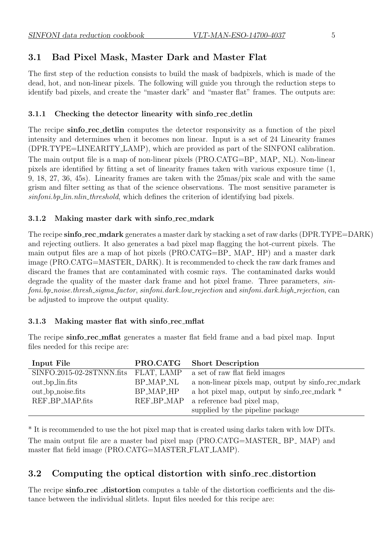#### <span id="page-9-0"></span>3.1 Bad Pixel Mask, Master Dark and Master Flat

The first step of the reduction consists to build the mask of badpixels, which is made of the dead, hot, and non-linear pixels. The following will guide you through the reduction steps to identify bad pixels, and create the "master dark" and "master flat" frames. The outputs are:

#### <span id="page-9-1"></span>3.1.1 Checking the detector linearity with sinfo rec detlin

The recipe sinfo rec detlin computes the detector responsivity as a function of the pixel intensity and determines when it becomes non linear. Input is a set of 24 Linearity frames (DPR.TYPE=LINEARITY LAMP), which are provided as part of the SINFONI calibration. The main output file is a map of non-linear pixels (PRO.CATG=BP\_MAP\_NL). Non-linear pixels are identified by fitting a set of linearity frames taken with various exposure time (1, 9, 18, 27, 36, 45s). Linearity frames are taken with the 25mas/pix scale and with the same grism and filter setting as that of the science observations. The most sensitive parameter is sinfoni.bp\_lin.nlin\_threshold, which defines the criterion of identifying bad pixels.

#### <span id="page-9-2"></span>3.1.2 Making master dark with sinfo rec mdark

The recipe sinfo rec mdark generates a master dark by stacking a set of raw darks (DPR.TYPE=DARK) and rejecting outliers. It also generates a bad pixel map flagging the hot-current pixels. The main output files are a map of hot pixels (PRO.CATG=BP MAP HP) and a master dark image (PRO.CATG=MASTER\_DARK). It is recommended to check the raw dark frames and discard the frames that are contaminated with cosmic rays. The contaminated darks would degrade the quality of the master dark frame and hot pixel frame. Three parameters,  $sin$ foni.bp\_noise.thresh\_sigma\_factor, sinfoni.dark.low\_rejection and sinfoni.dark.high\_rejection, can be adjusted to improve the output quality.

#### <span id="page-9-3"></span>3.1.3 Making master flat with sinfo rec mflat

| Input File                           | PRO.CATG   | <b>Short Description</b>                           |
|--------------------------------------|------------|----------------------------------------------------|
| SINFO.2015-02-28TNNN.fits FLAT, LAMP |            | a set of raw flat field images                     |
| out_bp_lin.fits                      | BP_MAP_NL  | a non-linear pixels map, output by sinfo rec_mdark |
| out_bp_noise.fits                    | BP_MAP_HP  | a hot pixel map, output by sinfo_rec_mdark *       |
| REF_BP_MAP.fits                      | REF_BP_MAP | a reference bad pixel map,                         |
|                                      |            | supplied by the pipeline package                   |

The recipe sinfo rec mflat generates a master flat field frame and a bad pixel map. Input files needed for this recipe are:

\* It is recommended to use the hot pixel map that is created using darks taken with low DITs. The main output file are a master bad pixel map (PRO.CATG=MASTER\_BP\_MAP) and master flat field image (PRO.CATG=MASTER FLAT LAMP).

#### <span id="page-9-4"></span>3.2 Computing the optical distortion with sinfo rec distortion

The recipe sinfo rec distortion computes a table of the distortion coefficients and the distance between the individual slitlets. Input files needed for this recipe are: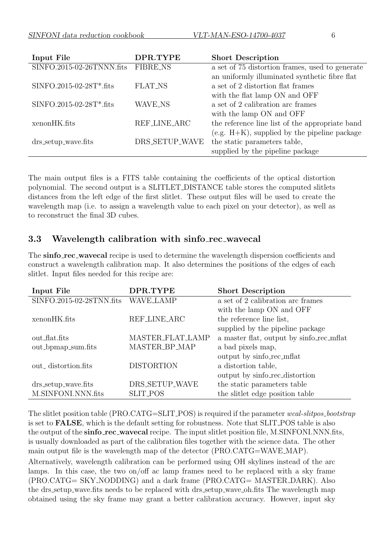| Input File                | DPR.TYPE        | <b>Short Description</b>                        |
|---------------------------|-----------------|-------------------------------------------------|
| SINFO.2015-02-26TNNN.fits | <b>FIBRE_NS</b> | a set of 75 distortion frames, used to generate |
|                           |                 | an uniformly illuminated synthetic fibre flat   |
| SINFO.2015-02-28T*.fits   | <b>FLAT_NS</b>  | a set of 2 distortion flat frames               |
|                           |                 | with the flat lamp ON and OFF                   |
| SINFO.2015-02-28T*.fits   | <b>WAVE_NS</b>  | a set of 2 calibration arc frames               |
|                           |                 | with the lamp ON and OFF                        |
| xenonHK.fits              | REF_LINE_ARC    | the reference line list of the appropriate band |
|                           |                 | (e.g. $H+K$ ), supplied by the pipeline package |
| drs_setup_wave.fits       | DRS_SETUP_WAVE  | the static parameters table,                    |
|                           |                 | supplied by the pipeline package                |

The main output files is a FITS table containing the coefficients of the optical distortion polynomial. The second output is a SLITLET DISTANCE table stores the computed slitlets distances from the left edge of the first slitlet. These output files will be used to create the wavelength map (i.e. to assign a wavelength value to each pixel on your detector), as well as to reconstruct the final 3D cubes.

#### <span id="page-10-0"></span>3.3 Wavelength calibration with sinfo rec wavecal

The sinfo rec wavecal recipe is used to determine the wavelength dispersion coefficients and construct a wavelength calibration map. It also determines the positions of the edges of each slitlet. Input files needed for this recipe are:

| Input File               | DPR.TYPE          | <b>Short Description</b>                 |
|--------------------------|-------------------|------------------------------------------|
| SINFO.2015-02-28TNN.fits | <b>WAVE_LAMP</b>  | a set of 2 calibration arc frames        |
|                          |                   | with the lamp ON and OFF                 |
| xenonHK.fits             | REF_LINE_ARC      | the reference line list,                 |
|                          |                   | supplied by the pipeline package         |
| out_flat.fits            | MASTER_FLAT_LAMP  | a master flat, output by sinfo_rec_mflat |
| out_bpmap_sum.fits       | MASTER_BP_MAP     | a bad pixels map,                        |
|                          |                   | output by sinfo_rec_mflat                |
| out_distortion.fits      | <b>DISTORTION</b> | a distortion table,                      |
|                          |                   | output by sinfo_rec_distortion           |
| drs_setup_wave.fits      | DRS_SETUP_WAVE    | the static parameters table              |
| M.SINFONI.NNN.fits       | <b>SLIT_POS</b>   | the slitlet edge position table          |

The slitlet position table (PRO.CATG=SLIT\_POS) is required if the parameter wcal-slitpos\_bootstrap is set to **FALSE**, which is the default setting for robustness. Note that SLIT POS table is also the output of the **sinfo\_rec\_wavecal** recipe. The input slitlet position file, M.SINFONI.NNN.fits, is usually downloaded as part of the calibration files together with the science data. The other main output file is the wavelength map of the detector (PRO.CATG=WAVE MAP). Alternatively, wavelength calibration can be performed using OH skylines instead of the arc lamps. In this case, the two on/off ac lamp frames need to be replaced with a sky frame (PRO.CATG= SKY NODDING) and a dark frame (PRO.CATG= MASTER DARK). Also the drs setup wave.fits needs to be replaced with drs setup wave oh.fits The wavelength map obtained using the sky frame may grant a better calibration accuracy. However, input sky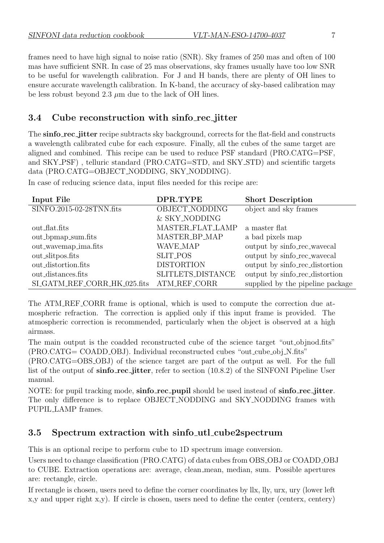frames need to have high signal to noise ratio (SNR). Sky frames of 250 mas and often of 100 mas have sufficient SNR. In case of 25 mas observations, sky frames usually have too low SNR to be useful for wavelength calibration. For J and H bands, there are plenty of OH lines to ensure accurate wavelength calibration. In K-band, the accuracy of sky-based calibration may be less robust beyond 2.3  $\mu$ m due to the lack of OH lines.

#### <span id="page-11-0"></span>3.4 Cube reconstruction with sinfo rec jitter

The sinfo rec-jitter recipe subtracts sky background, corrects for the flat-field and constructs a wavelength calibrated cube for each exposure. Finally, all the cubes of the same target are aligned and combined. This recipe can be used to reduce PSF standard (PRO.CATG=PSF, and SKY PSF) , telluric standard (PRO.CATG=STD, and SKY STD) and scientific targets data (PRO.CATG=OBJECT NODDING, SKY NODDING).

Input File DPR.TYPE Short Description SINFO.2015-02-28TNN.fits OBJECT\_NODDING object and sky frames & SKY NODDING out flat.fits MASTER FLAT LAMP a master flat out bpmap sum.fits MASTER BP MAP a bad pixels map out wavemap ima.fits WAVE MAP output by sinfo rec wavecal out slitpos.fits SLIT POS output by sinfo rec wavecal out distortion.fits DISTORTION output by sinfo rec distortion out distances.fits SLITLETS DISTANCE output by sinfo rec distortion SLGATM\_REF\_CORR\_HK\_025.fits ATM\_REF\_CORR supplied by the pipeline package

In case of reducing science data, input files needed for this recipe are:

The ATM REF CORR frame is optional, which is used to compute the correction due atmospheric refraction. The correction is applied only if this input frame is provided. The atmospheric correction is recommended, particularly when the object is observed at a high airmass.

The main output is the coadded reconstructed cube of the science target "out objnod.fits" (PRO.CATG= COADD\_OBJ). Individual reconstructed cubes "out\_cube\_obj\_N.fits"

(PRO.CATG=OBS OBJ) of the science target are part of the output as well. For the full list of the output of  $\sin$ fo rec jitter, refer to section (10.8.2) of the SINFONI Pipeline User manual.

NOTE: for pupil tracking mode, sinfo rec pupil should be used instead of sinfo rec jitter. The only difference is to replace OBJECT NODDING and SKY NODDING frames with PUPIL LAMP frames.

## <span id="page-11-1"></span>3.5 Spectrum extraction with sinfo utl cube2spectrum

This is an optional recipe to perform cube to 1D spectrum image conversion.

Users need to change classification (PRO.CATG) of data cubes from OBS OBJ or COADD OBJ to CUBE. Extraction operations are: average, clean mean, median, sum. Possible apertures are: rectangle, circle.

If rectangle is chosen, users need to define the corner coordinates by llx, lly, urx, ury (lower left x,y and upper right x,y). If circle is chosen, users need to define the center (centerx, centery)